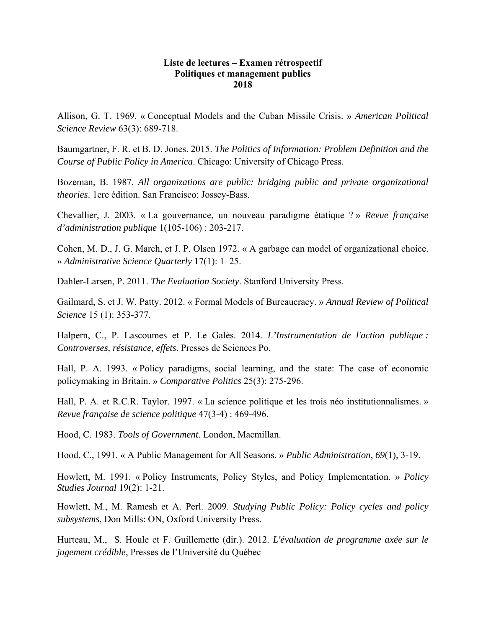## **Liste de lectures – Examen rétrospectif Politiques et management publics 2018**

Allison, G. T. 1969. « Conceptual Models and the Cuban Missile Crisis. » *American Political Science Review* 63(3): 689-718.

Baumgartner, F. R. et B. D. Jones. 2015. *The Politics of Information: Problem Definition and the Course of Public Policy in America*. Chicago: University of Chicago Press.

Bozeman, B. 1987. *All organizations are public: bridging public and private organizational theories*. 1ere édition. San Francisco: Jossey-Bass.

Chevallier, J. 2003. « La gouvernance, un nouveau paradigme étatique ? » *Revue française d'administration publique* 1(105-106) : 203-217.

Cohen, M. D., J. G. March, et J. P. Olsen 1972. « A garbage can model of organizational choice. » *Administrative Science Quarterly* 17(1): 1–25.

Dahler-Larsen, P. 2011. *The Evaluation Society*. Stanford University Press.

Gailmard, S. et J. W. Patty. 2012. « Formal Models of Bureaucracy. » *Annual Review of Political Science* 15 (1): 353-377.

Halpern, C., P. Lascoumes et P. Le Galès. 2014. *L'Instrumentation de l'action publique : Controverses, résistance, effets*. Presses de Sciences Po.

Hall, P. A. 1993. « Policy paradigms, social learning, and the state: The case of economic policymaking in Britain. » *Comparative Politics* 25(3): 275-296.

Hall, P. A. et R.C.R. Taylor. 1997. « La science politique et les trois néo institutionnalismes. » *Revue française de science politique* 47(3-4) : 469-496.

Hood, C. 1983. *Tools of Government*. London, Macmillan.

Hood, C., 1991. « A Public Management for All Seasons*.* » *Public Administration*, *69*(1), 3-19.

Howlett, M. 1991. « Policy Instruments, Policy Styles, and Policy Implementation. » *Policy Studies Journal* 19(2): 1-21.

Howlett, M., M. Ramesh et A. Perl. 2009. *Studying Public Policy: Policy cycles and policy subsystems*, Don Mills: ON, Oxford University Press.

Hurteau, M., S. Houle et F. Guillemette (dir.). 2012. *L'évaluation de programme axée sur le jugement crédible*, Presses de l'Université du Québec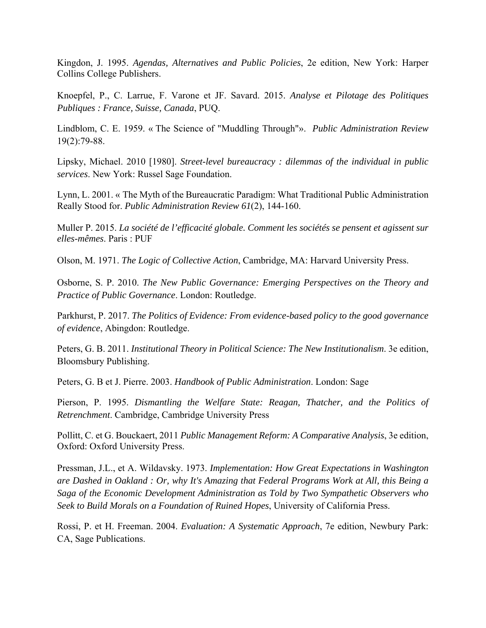Kingdon, J. 1995. *Agendas, Alternatives and Public Policies*, 2e edition, New York: Harper Collins College Publishers.

Knoepfel, P., C. Larrue, F. Varone et JF. Savard. 2015. *Analyse et Pilotage des Politiques Publiques : France, Suisse, Canada*, PUQ.

Lindblom, C. E. 1959. « The Science of "Muddling Through"». *Public Administration Review*  19(2):79-88.

Lipsky, Michael. 2010 [1980]. *Street-level bureaucracy : dilemmas of the individual in public services*. New York: Russel Sage Foundation.

Lynn, L. 2001. « The Myth of the Bureaucratic Paradigm: What Traditional Public Administration Really Stood for. *Public Administration Review 61*(2), 144-160.

Muller P. 2015. *La société de l'efficacité globale. Comment les sociétés se pensent et agissent sur elles-mêmes*. Paris : PUF

Olson, M. 1971. *The Logic of Collective Action*, Cambridge, MA: Harvard University Press.

Osborne, S. P. 2010. *The New Public Governance: Emerging Perspectives on the Theory and Practice of Public Governance*. London: Routledge.

Parkhurst, P. 2017. *The Politics of Evidence: From evidence-based policy to the good governance of evidence*, Abingdon: Routledge.

Peters, G. B. 2011. *Institutional Theory in Political Science: The New Institutionalism*. 3e edition, Bloomsbury Publishing.

Peters, G. B et J. Pierre. 2003. *Handbook of Public Administration*. London: Sage

Pierson, P. 1995. *Dismantling the Welfare State: Reagan, Thatcher, and the Politics of Retrenchment*. Cambridge, Cambridge University Press

Pollitt, C. et G. Bouckaert, 2011 *Public Management Reform: A Comparative Analysis*, 3e edition, Oxford: Oxford University Press.

Pressman, J.L., et A. Wildavsky. 1973. *Implementation: How Great Expectations in Washington are Dashed in Oakland : Or, why It's Amazing that Federal Programs Work at All, this Being a Saga of the Economic Development Administration as Told by Two Sympathetic Observers who Seek to Build Morals on a Foundation of Ruined Hopes*, University of California Press.

Rossi, P. et H. Freeman. 2004. *Evaluation: A Systematic Approach*, 7e edition, Newbury Park: CA, Sage Publications.